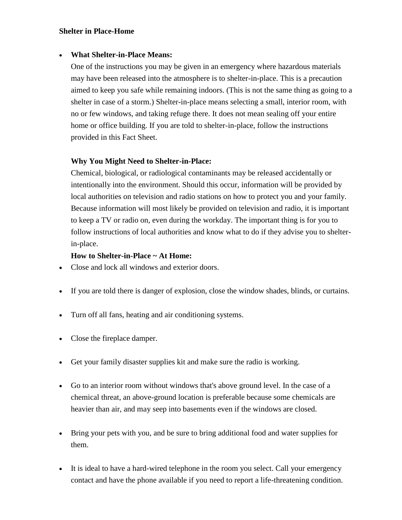## **Shelter in Place-Home**

## **What Shelter-in-Place Means:**

One of the instructions you may be given in an emergency where hazardous materials may have been released into the atmosphere is to shelter-in-place. This is a precaution aimed to keep you safe while remaining indoors. (This is not the same thing as going to a shelter in case of a storm.) Shelter-in-place means selecting a small, interior room, with no or few windows, and taking refuge there. It does not mean sealing off your entire home or office building. If you are told to shelter-in-place, follow the instructions provided in this Fact Sheet.

## **Why You Might Need to Shelter-in-Place:**

Chemical, biological, or radiological contaminants may be released accidentally or intentionally into the environment. Should this occur, information will be provided by local authorities on television and radio stations on how to protect you and your family. Because information will most likely be provided on television and radio, it is important to keep a TV or radio on, even during the workday. The important thing is for you to follow instructions of local authorities and know what to do if they advise you to shelterin-place.

## **How to Shelter-in-Place ~ At Home:**

- Close and lock all windows and exterior doors.
- If you are told there is danger of explosion, close the window shades, blinds, or curtains.
- Turn off all fans, heating and air conditioning systems.
- Close the fireplace damper.
- Get your family disaster supplies kit and make sure the radio is working.
- Go to an interior room without windows that's above ground level. In the case of a chemical threat, an above-ground location is preferable because some chemicals are heavier than air, and may seep into basements even if the windows are closed.
- Bring your pets with you, and be sure to bring additional food and water supplies for them.
- It is ideal to have a hard-wired telephone in the room you select. Call your emergency contact and have the phone available if you need to report a life-threatening condition.